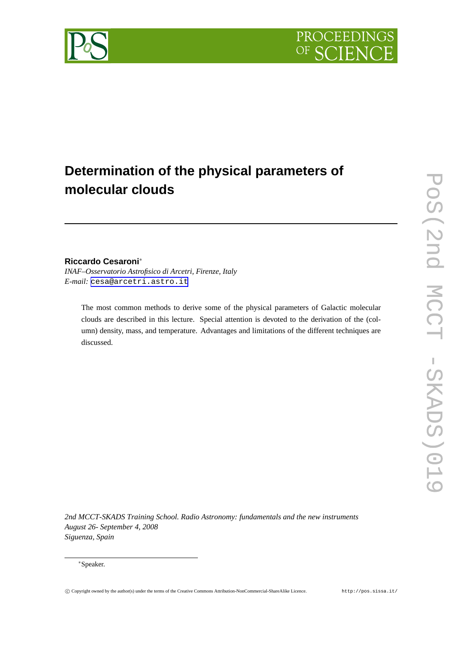

# **Determination of the physical parameters of molecular clouds**

## **Riccardo Cesaroni**<sup>∗</sup>

*INAF–Osservatorio Astrofisico di Arcetri, Firenze, Italy E-mail:* [cesa@arcetri.astro.it](mailto:cesa@arcetri.astro.it)

The most common methods to derive some of the physical parameters of Galactic molecular clouds are described in this lecture. Special attention is devoted to the derivation of the (column) density, mass, and temperature. Advantages and limitations of the different techniques are discussed.

*2nd MCCT-SKADS Training School. Radio Astronomy: fundamentals and the new instruments August 26- September 4, 2008 Siguenza, Spain*

#### <sup>∗</sup>Speaker.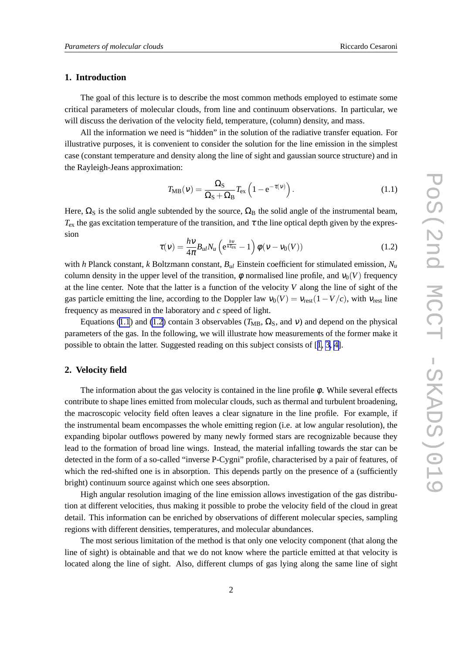### <span id="page-1-0"></span>**1. Introduction**

The goal of this lecture is to describe the most common methods employed to estimate some critical parameters of molecular clouds, from line and continuum observations. In particular, we will discuss the derivation of the velocity field, temperature, (column) density, and mass.

All the information we need is "hidden" in the solution of the radiative transfer equation. For illustrative purposes, it is convenient to consider the solution for the line emission in the simplest case (constant temperature and density along the line of sight and gaussian source structure) and in the Rayleigh-Jeans approximation:

$$
T_{\rm MB}(\nu) = \frac{\Omega_{\rm S}}{\Omega_{\rm S} + \Omega_{\rm B}} T_{\rm ex} \left( 1 - e^{-\tau(\nu)} \right). \tag{1.1}
$$

Here,  $\Omega_S$  is the solid angle subtended by the source,  $\Omega_B$  the solid angle of the instrumental beam,  $T_{\rm ex}$  the gas excitation temperature of the transition, and  $\tau$  the line optical depth given by the expression

$$
\tau(v) = \frac{h v}{4\pi} B_{ul} N_u \left( e^{\frac{hv}{kT_{\text{ex}}}} - 1 \right) \phi(v - v_0(V)) \tag{1.2}
$$

with *h* Planck constant, *k* Boltzmann constant, *Bul* Einstein coefficient for stimulated emission, *N<sup>u</sup>* column density in the upper level of the transition,  $\phi$  normalised line profile, and  $v_0(V)$  frequency at the line center. Note that the latter is a function of the velocity *V* along the line of sight of the gas particle emitting the line, according to the Doppler law  $v_0(V) = v_{\text{rest}}(1 - V/c)$ , with  $v_{\text{rest}}$  line frequency as measured in the laboratory and *c* speed of light.

Equations (1.1) and (1.2) contain 3 observables ( $T_{\text{MB}}$ ,  $\Omega_{\text{S}}$ , and v) and depend on the physical parameters of the gas. In the following, we will illustrate how measurements of the former make it possible to obtain the latter. Suggested reading on this subject consists of [[1, 3, 4\]](#page-6-0).

#### **2. Velocity field**

The information about the gas velocity is contained in the line profile  $\phi$ . While several effects contribute to shape lines emitted from molecular clouds, such as thermal and turbulent broadening, the macroscopic velocity field often leaves a clear signature in the line profile. For example, if the instrumental beam encompasses the whole emitting region (i.e. at low angular resolution), the expanding bipolar outflows powered by many newly formed stars are recognizable because they lead to the formation of broad line wings. Instead, the material infalling towards the star can be detected in the form of a so-called "inverse P-Cygni" profile, characterised by a pair of features, of which the red-shifted one is in absorption. This depends partly on the presence of a (sufficiently bright) continuum source against which one sees absorption.

High angular resolution imaging of the line emission allows investigation of the gas distribution at different velocities, thus making it possible to probe the velocity field of the cloud in great detail. This information can be enriched by observations of different molecular species, sampling regions with different densities, temperatures, and molecular abundances.

The most serious limitation of the method is that only one velocity component (that along the line of sight) is obtainable and that we do not know where the particle emitted at that velocity is located along the line of sight. Also, different clumps of gas lying along the same line of sight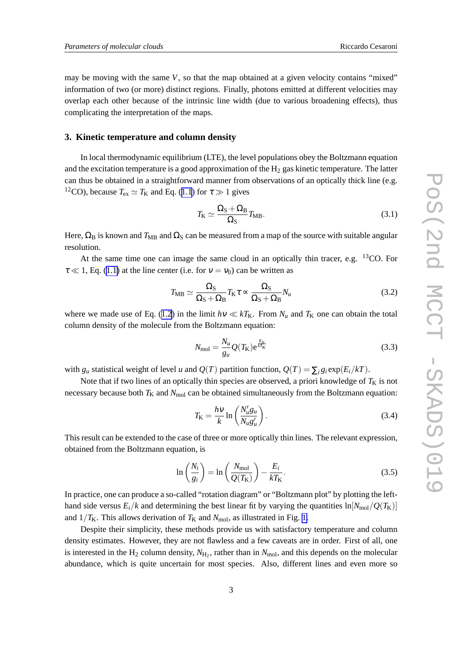<span id="page-2-0"></span>may be moving with the same *V*, so that the map obtained at a given velocity contains "mixed" information of two (or more) distinct regions. Finally, photons emitted at different velocities may overlap each other because of the intrinsic line width (due to various broadening effects), thus complicating the interpretation of the maps.

#### **3. Kinetic temperature and column density**

In local thermodynamic equilibrium (LTE), the level populations obey the Boltzmann equation and the excitation temperature is a good approximation of the  $H_2$  gas kinetic temperature. The latter can thus be obtained in a straightforward manner from observations of an optically thick line (e.g. <sup>12</sup>CO), because  $T_{ex} \simeq T_K$  and Eq. ([1.1](#page-1-0)) for  $\tau \gg 1$  gives

$$
T_{\rm K} \simeq \frac{\Omega_{\rm S} + \Omega_{\rm B}}{\Omega_{\rm S}} T_{\rm MB}.
$$
\n(3.1)

Here,  $\Omega_B$  is known and  $T_{MB}$  and  $\Omega_S$  can be measured from a map of the source with suitable angular resolution.

At the same time one can image the same cloud in an optically thin tracer, e.g. <sup>13</sup>CO. For  $\tau \ll 1$ , Eq. ([1.1\)](#page-1-0) at the line center (i.e. for  $v = v_0$ ) can be written as

$$
T_{\rm MB} \simeq \frac{\Omega_{\rm S}}{\Omega_{\rm S} + \Omega_{\rm B}} T_{\rm K} \tau \simeq \frac{\Omega_{\rm S}}{\Omega_{\rm S} + \Omega_{\rm B}} N_u \tag{3.2}
$$

where we made use of Eq. ([1.2](#page-1-0)) in the limit  $h\nu \ll kT_K$ . From  $N_u$  and  $T_K$  one can obtain the total column density of the molecule from the Boltzmann equation:

$$
N_{\text{mol}} = \frac{N_u}{g_u} Q(T_K) e^{\frac{E_u}{kT_K}}
$$
\n(3.3)

with  $g_u$  statistical weight of level *u* and  $O(T)$  partition function,  $O(T) = \sum_i g_i \exp(E_i/kT)$ .

Note that if two lines of an optically thin species are observed, a priori knowledge of  $T_K$  is not necessary because both  $T_K$  and  $N_{mol}$  can be obtained simultaneously from the Boltzmann equation:

$$
T_{\rm K} = \frac{h\nu}{k} \ln \left( \frac{N_u' g_u}{N_u g_u'} \right). \tag{3.4}
$$

This result can be extended to the case of three or more optically thin lines. The relevant expression, obtained from the Boltzmann equation, is

$$
\ln\left(\frac{N_i}{g_i}\right) = \ln\left(\frac{N_{\text{mol}}}{Q(T_{\text{K}})}\right) - \frac{E_i}{kT_{\text{K}}}.\tag{3.5}
$$

In practice, one can produce a so-called "rotation diagram" or "Boltzmann plot" by plotting the lefthand side versus  $E_i/k$  and determining the best linear fit by varying the quantities  $\ln[N_{\text{mol}}/Q(T_K)]$ and  $1/T_K$ . This allows derivation of  $T_K$  and  $N_{mol}$ , as illustrated in Fig. [1.](#page-3-0)

Despite their simplicity, these methods provide us with satisfactory temperature and column density estimates. However, they are not flawless and a few caveats are in order. First of all, one is interested in the  $H_2$  column density,  $N_{H_2}$ , rather than in  $N_{mol}$ , and this depends on the molecular abundance, which is quite uncertain for most species. Also, different lines and even more so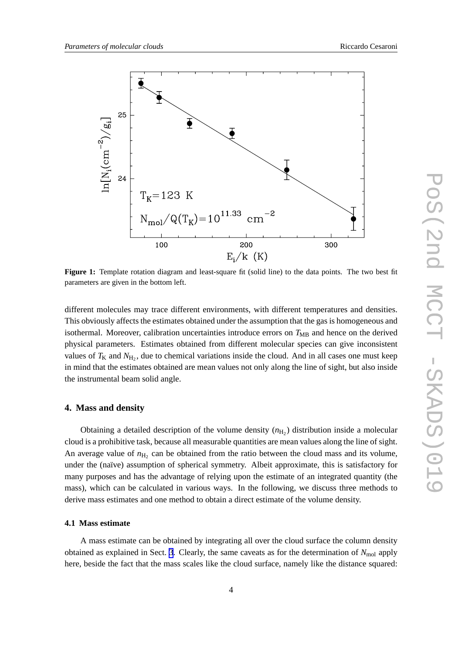<span id="page-3-0"></span>

**Figure 1:** Template rotation diagram and least-square fit (solid line) to the data points. The two best fit parameters are given in the bottom left.

different molecules may trace different environments, with different temperatures and densities. This obviously affects the estimates obtained under the assumption that the gas is homogeneous and isothermal. Moreover, calibration uncertainties introduce errors on T<sub>MB</sub> and hence on the derived physical parameters. Estimates obtained from different molecular species can give inconsistent values of  $T_K$  and  $N_{H_2}$ , due to chemical variations inside the cloud. And in all cases one must keep in mind that the estimates obtained are mean values not only along the line of sight, but also inside the instrumental beam solid angle.

#### **4. Mass and density**

Obtaining a detailed description of the volume density  $(n_{\text{H}_2})$  distribution inside a molecular cloud is a prohibitive task, because all measurable quantities are mean values along the line of sight. An average value of  $n_{\text{H}_2}$  can be obtained from the ratio between the cloud mass and its volume, under the (naïve) assumption of spherical symmetry. Albeit approximate, this is satisfactory for many purposes and has the advantage of relying upon the estimate of an integrated quantity (the mass), which can be calculated in various ways. In the following, we discuss three methods to derive mass estimates and one method to obtain a direct estimate of the volume density.

#### **4.1 Mass estimate**

A mass estimate can be obtained by integrating all over the cloud surface the column density obtained as explained in Sect. [3](#page-2-0). Clearly, the same caveats as for the determination of  $N_{\text{mol}}$  apply here, beside the fact that the mass scales like the cloud surface, namely like the distance squared: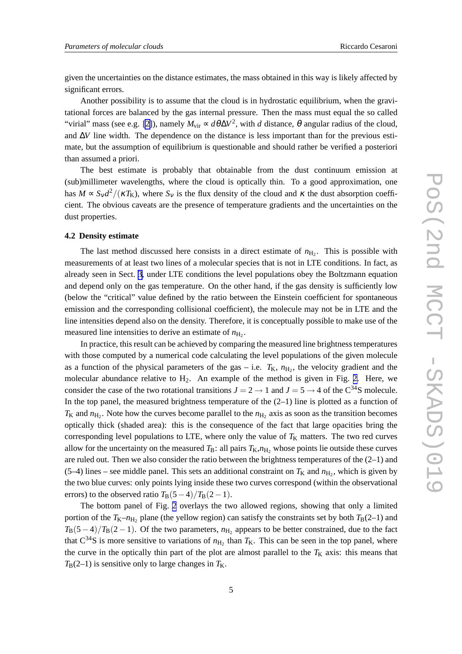given the uncertainties on the distance estimates, the mass obtained in this way is likely affected by significant errors.

Another possibility is to assume that the cloud is in hydrostatic equilibrium, when the gravitational forces are balanced by the gas internal pressure. Then the mass must equal the so called "virial" mass (see e.g. [\[2\]](#page-6-0)), namely  $M_{\text{vir}} \propto d\theta \Delta V^2$ , with *d* distance,  $\theta$  angular radius of the cloud, and ∆*V* line width. The dependence on the distance is less important than for the previous estimate, but the assumption of equilibrium is questionable and should rather be verified a posteriori than assumed a priori.

The best estimate is probably that obtainable from the dust continuum emission at (sub)millimeter wavelengths, where the cloud is optically thin. To a good approximation, one has  $M \propto S_V d^2 / (\kappa T_K)$ , where  $S_V$  is the flux density of the cloud and  $\kappa$  the dust absorption coefficient. The obvious caveats are the presence of temperature gradients and the uncertainties on the dust properties.

#### **4.2 Density estimate**

The last method discussed here consists in a direct estimate of  $n_{\text{H}_2}$ . This is possible with measurements of at least two lines of a molecular species that is not in LTE conditions. In fact, as already seen in Sect. [3](#page-2-0), under LTE conditions the level populations obey the Boltzmann equation and depend only on the gas temperature. On the other hand, if the gas density is sufficiently low (below the "critical" value defined by the ratio between the Einstein coefficient for spontaneous emission and the corresponding collisional coefficient), the molecule may not be in LTE and the line intensities depend also on the density. Therefore, it is conceptually possible to make use of the measured line intensities to derive an estimate of  $n_{\text{H}_2}$ .

In practice, this result can be achieved by comparing the measured line brightness temperatures with those computed by a numerical code calculating the level populations of the given molecule as a function of the physical parameters of the gas – i.e.  $T_{K}$ ,  $n_{\text{H}_2}$ , the velocity gradient and the molecular abundance relative to  $H_2$ . An example of the method is given in Fig. [2.](#page-5-0) Here, we consider the case of the two rotational transitions  $J = 2 \rightarrow 1$  and  $J = 5 \rightarrow 4$  of the C<sup>34</sup>S molecule. In the top panel, the measured brightness temperature of the  $(2-1)$  line is plotted as a function of  $T_K$  and  $n_{H_2}$ . Note how the curves become parallel to the  $n_{H_2}$  axis as soon as the transition becomes optically thick (shaded area): this is the consequence of the fact that large opacities bring the corresponding level populations to LTE, where only the value of  $T_K$  matters. The two red curves allow for the uncertainty on the measured  $T_{\rm B}$ : all pairs  $T_{\rm K}$ , $n_{\rm H}$ , whose points lie outside these curves are ruled out. Then we also consider the ratio between the brightness temperatures of the (2–1) and  $(5-4)$  lines – see middle panel. This sets an additional constraint on  $T<sub>K</sub>$  and  $n<sub>H<sub>2</sub></sub>$ , which is given by the two blue curves: only points lying inside these two curves correspond (within the observational errors) to the observed ratio  $T_{\rm B}(5-4)/T_{\rm B}(2-1)$ .

The bottom panel of Fig. [2](#page-5-0) overlays the two allowed regions, showing that only a limited portion of the  $T_{K}-n_{H_2}$  plane (the yellow region) can satisfy the constraints set by both  $T_{B}(2-1)$  and  $T_{\rm B}(5-4)/T_{\rm B}(2-1)$ . Of the two parameters,  $n_{\rm H_2}$  appears to be better constrained, due to the fact that  $C^{34}S$  is more sensitive to variations of  $n_{H_2}$  than  $T_K$ . This can be seen in the top panel, where the curve in the optically thin part of the plot are almost parallel to the  $T<sub>K</sub>$  axis: this means that  $T_B(2-1)$  is sensitive only to large changes in  $T_K$ .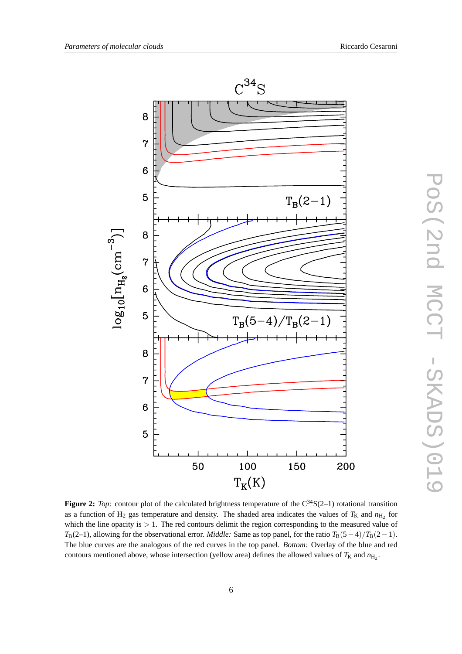<span id="page-5-0"></span>





**Figure 2:** *Top:* contour plot of the calculated brightness temperature of the C<sup>34</sup>S(2–1) rotational transition as a function of  $H_2$  gas temperature and density. The shaded area indicates the values of  $T_K$  and  $n_{H_2}$  for which the line opacity is  $> 1$ . The red contours delimit the region corresponding to the measured value of *T*<sub>B</sub>(2–1), allowing for the observational error. *Middle:* Same as top panel, for the ratio  $T_B(5-4)/T_B(2-1)$ . The blue curves are the analogous of the red curves in the top panel. *Bottom:* Overlay of the blue and red contours mentioned above, whose intersection (yellow area) defines the allowed values of  $T_K$  and  $n_{\text{H}_2}$ .